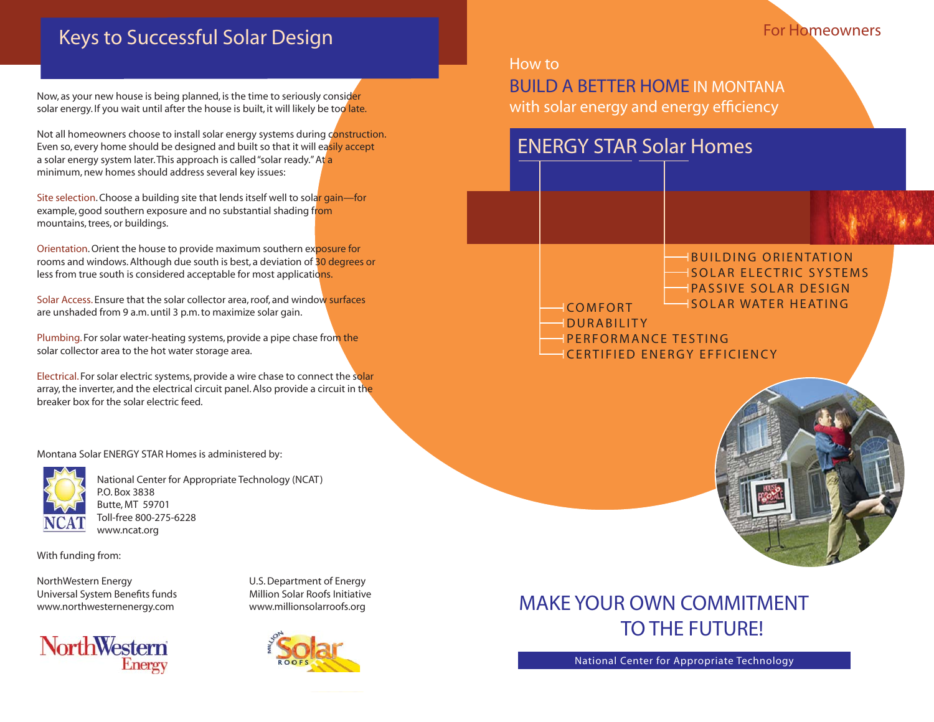## **Keys to Successful Solar Design**

Now, as your new house is being planned, is the time to seriously consider solar energy. If you wait until after the house is built, it will likely be too late.

Not all homeowners choose to install solar energy systems during construction. Even so, every home should be designed and built so that it will easily accept a solar energy system later. This approach is called "solar ready." At a minimum, new homes should address several key issues:

Site selection. Choose a building site that lends itself well to solar gain-for example, good southern exposure and no substantial shading from mountains, trees, or buildings.

Orientation. Orient the house to provide maximum southern exposure for rooms and windows. Although due south is best, a deviation of 30 degrees or less from true south is considered acceptable for most applications.

Solar Access. Ensure that the solar collector area, roof, and window surfaces are unshaded from 9 a.m. until 3 p.m. to maximize solar gain.

Plumbing. For solar water-heating systems, provide a pipe chase from the solar collector area to the hot water storage area.

Electrical. For solar electric systems, provide a wire chase to connect the solar array, the inverter, and the electrical circuit panel. Also provide a circuit in the breaker box for the solar electric feed.

Montana Solar ENERGY STAR Homes is administered by:



National Center for Appropriate Technology (NCAT) P.O. Box 3838 Butte, MT 59701 Toll-free 800-275-6228 www.ncat.org

With funding from:

NorthWestern Energy U.S. Department of Energy Universal System Benefits funds Million Solar Roofs Initiative www.northwesternenergy.com www.millionsolarroofs.org





# MAKE YOUR OWN COMMITMENT TO THE FUTURE!

National Center for Appropriate Technology

### How to

BUILD A BETTER HOME IN MONTANA with solar energy and energy efficiency

## ENERGY STAR Solar Homes

## IBUILDING ORIENTATION I SOLAR ELECTRIC SYSTEMS

- IPASSIVE SOLAR DESIGN
- COMFORT **In SOLAR WATER HEATING**
- - **DURABILITY** IPERFORMANCE TESTING
- CERTIFIED ENERGY EFFICIENCY